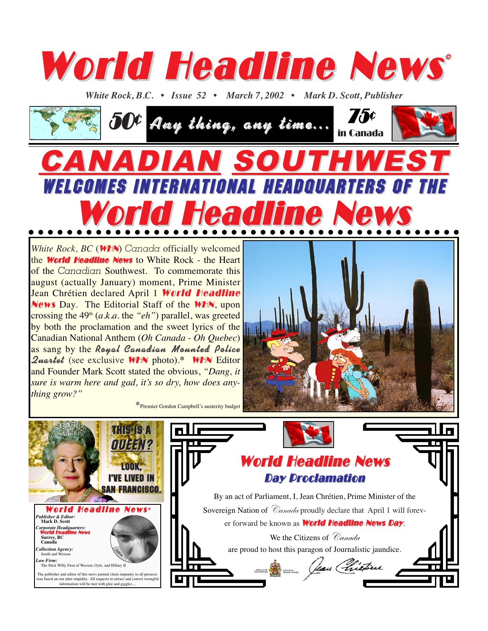

*White Rock, B.C. • Issue 52 • March 7, 2002 • Mark D. Scott, Publisher* 



WELCOMES INTERNATIONAL HEADQUARTERS OF THE

 $\bullet\bullet\bullet\bullet\bullet\bullet$ 

Headline New

## *White Rock, BC* (WHN) *Canada* officially welcomed the **World Headline News** to White Rock - the Heart of the *Canadian* Southwest. To commemorate this august (actually January) moment, Prime Minister Jean Chrétien declared April 1 World Headline News Day. The Editorial Staff of the **WHN**, upon crossing the 49th (*a.k.a.* the *"eh"*) parallel, was greeted by both the proclamation and the sweet lyrics of the Canadian National Anthem (*Oh Canada - Oh Quebec*) as sang by the Royal Canadian Mounted Police **Quartet** (see exclusive **WHN** photo).\* **WHN** Editor and Founder Mark Scott stated the obvious, *"Dang, it sure is warm here and gad, it's so dry, how does anything grow?"*

 $\bullet\hspace{0.1cm} \bullet\hspace{0.1cm} \bullet\hspace{0.1cm} \bullet\hspace{0.1cm} \bullet\hspace{0.1cm} \bullet\hspace{0.1cm} \bullet\hspace{0.1cm} \bullet\hspace{0.1cm} \bullet$ 

 $\bullet$ 

 $\bullet$ 



\*Premier Gordon Campbell's austerity budget

 $\bullet\bullet\bullet$